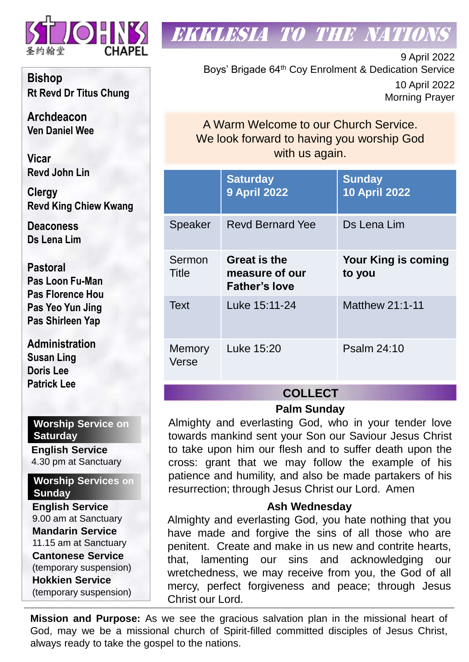

**Bishop Rt Revd Dr Titus Chung**

**Archdeacon Ven Daniel Wee**

**Vicar Revd John Lin** 

**Clergy Revd King Chiew Kwang**

**Deaconess Ds Lena Lim**

**Pastoral Pas Loon Fu-Man Pas Florence Hou Pas Yeo Yun Jing Pas Shirleen Yap**

**Administration Susan Ling Doris Lee Patrick Lee**

#### **Worship Service on Saturday**

**English Service**  4.30 pm at Sanctuary

**Worship Services on Sunday**

**English Service** 9.00 am at Sanctuary **Mandarin Service** 11.15 am at Sanctuary **Cantonese Service** (temporary suspension) **Hokkien Service** (temporary suspension)

## **EKKLESIA TO THE NATION**

9 April 2022 Boys' Brigade 64th Coy Enrolment & Dedication Service 10 April 2022 Morning Prayer

A Warm Welcome to our Church Service. We look forward to having you worship God with us again.

|                 | <b>Saturday</b><br><b>9 April 2022</b>                        | <b>Sunday</b><br><b>10 April 2022</b> |  |
|-----------------|---------------------------------------------------------------|---------------------------------------|--|
| <b>Speaker</b>  | <b>Revd Bernard Yee</b>                                       | Ds Lena Lim                           |  |
| Sermon<br>Title | <b>Great is the</b><br>measure of our<br><b>Father's love</b> | <b>Your King is coming</b><br>to you  |  |
| <b>Text</b>     | Luke 15:11-24                                                 | Matthew 21:1-11                       |  |
| Memory<br>Verse | Luke 15:20                                                    | Psalm 24:10                           |  |

### **COLLECT**

#### **Palm Sunday**

Almighty and everlasting God, who in your tender love towards mankind sent your Son our Saviour Jesus Christ to take upon him our flesh and to suffer death upon the cross: grant that we may follow the example of his patience and humility, and also be made partakers of his resurrection; through Jesus Christ our Lord. Amen

#### **Ash Wednesday**

Almighty and everlasting God, you hate nothing that you have made and forgive the sins of all those who are penitent. Create and make in us new and contrite hearts, that, lamenting our sins and acknowledging our wretchedness, we may receive from you, the God of all mercy, perfect forgiveness and peace; through Jesus Christ our Lord.

**Mission and Purpose:** As we see the gracious salvation plan in the missional heart of God, may we be a missional church of Spirit-filled committed disciples of Jesus Christ, always ready to take the gospel to the nations.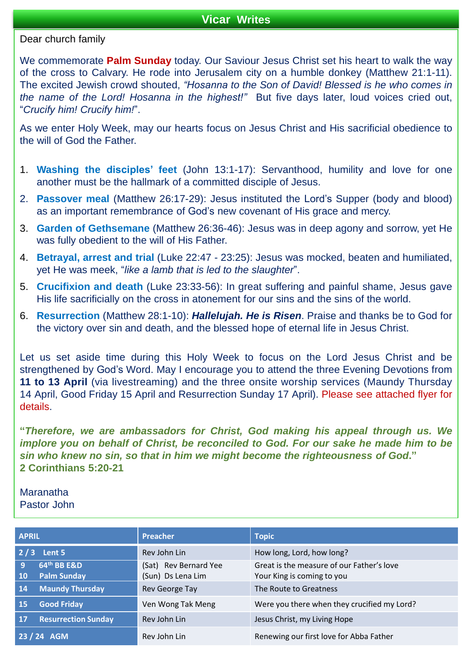#### **Vicar Writes**

#### Dear church family

We commemorate **Palm Sunday** today. Our Saviour Jesus Christ set his heart to walk the way of the cross to Calvary. He rode into Jerusalem city on a humble donkey (Matthew 21:1-11). The excited Jewish crowd shouted, *"Hosanna to the Son of David! Blessed is he who comes in the name of the Lord! Hosanna in the highest!"* But five days later, loud voices cried out, "*Crucify him! Crucify him!*".

As we enter Holy Week, may our hearts focus on Jesus Christ and His sacrificial obedience to the will of God the Father.

- 1. **Washing the disciples' feet** (John 13:1-17): Servanthood, humility and love for one another must be the hallmark of a committed disciple of Jesus.
- 2. **Passover meal** (Matthew 26:17-29): Jesus instituted the Lord's Supper (body and blood) as an important remembrance of God's new covenant of His grace and mercy.
- 3. **Garden of Gethsemane** (Matthew 26:36-46): Jesus was in deep agony and sorrow, yet He was fully obedient to the will of His Father.
- 4. **Betrayal, arrest and trial** (Luke 22:47 23:25): Jesus was mocked, beaten and humiliated, yet He was meek, "*like a lamb that is led to the slaughter*".
- 5. **Crucifixion and death** (Luke 23:33-56): In great suffering and painful shame, Jesus gave His life sacrificially on the cross in atonement for our sins and the sins of the world.
- 6. **Resurrection** (Matthew 28:1-10): *Hallelujah. He is Risen*. Praise and thanks be to God for the victory over sin and death, and the blessed hope of eternal life in Jesus Christ.

Let us set aside time during this Holy Week to focus on the Lord Jesus Christ and be strengthened by God's Word. May I encourage you to attend the three Evening Devotions from **11 to 13 April** (via livestreaming) and the three onsite worship services (Maundy Thursday 14 April, Good Friday 15 April and Resurrection Sunday 17 April). Please see attached flyer for details.

**"***Therefore, we are ambassadors for Christ, God making his appeal through us. We implore you on behalf of Christ, be reconciled to God. For our sake he made him to be sin who knew no sin, so that in him we might become the righteousness of God***." 2 Corinthians 5:20-21**

**Maranatha** Pastor John

| <b>APRIL</b>                                        | <b>Preacher</b>                            | <b>Topic</b>                                                            |
|-----------------------------------------------------|--------------------------------------------|-------------------------------------------------------------------------|
| $2/3$ Lent 5                                        | Rev John Lin                               | How long, Lord, how long?                                               |
| 64th BB E&D<br>9<br><b>Palm Sunday</b><br><b>10</b> | (Sat) Rev Bernard Yee<br>(Sun) Ds Lena Lim | Great is the measure of our Father's love<br>Your King is coming to you |
| <b>Maundy Thursday</b><br>14                        | Rev George Tay                             | The Route to Greatness                                                  |
| <b>Good Friday</b><br><b>15</b>                     | Ven Wong Tak Meng                          | Were you there when they crucified my Lord?                             |
| <b>Resurrection Sunday</b><br><b>17</b>             | Rev John Lin                               | Jesus Christ, my Living Hope                                            |
| 23 / 24 AGM                                         | Rev John Lin                               | Renewing our first love for Abba Father                                 |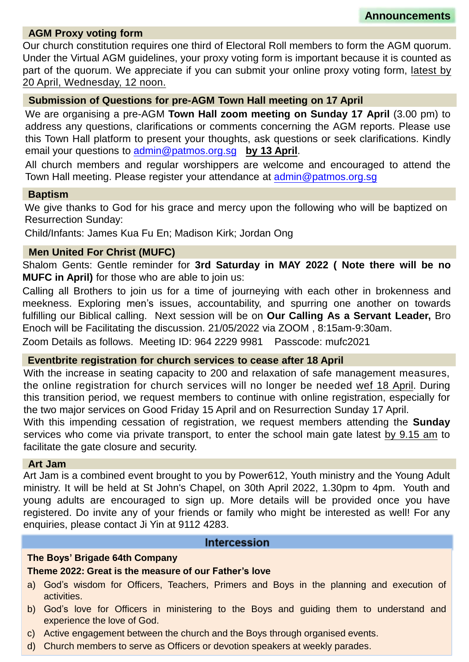#### **AGM Proxy voting form**

Our church constitution requires one third of Electoral Roll members to form the AGM quorum. Under the Virtual AGM guidelines, your proxy voting form is important because it is counted as part of the quorum. We appreciate if you can submit your online proxy voting form, latest by 20 April, Wednesday, 12 noon.

#### **Submission of Questions for pre-AGM Town Hall meeting on 17 April**

We are organising a pre-AGM **Town Hall zoom meeting on Sunday 17 April** (3.00 pm) to address any questions, clarifications or comments concerning the AGM reports. Please use this Town Hall platform to present your thoughts, ask questions or seek clarifications. Kindly email your questions to [admin@patmos.org.sg](mailto:admin@patmos.org.sg) **by 13 April**.

All church members and regular worshippers are welcome and encouraged to attend the Town Hall meeting. Please register your attendance at [admin@patmos.org.sg](mailto:admin@patmos.org.sg)

#### **Baptism**

We give thanks to God for his grace and mercy upon the following who will be baptized on Resurrection Sunday:

Child/Infants: James Kua Fu En; Madison Kirk; Jordan Ong

#### **Men United For Christ (MUFC)**

Shalom Gents: Gentle reminder for **3rd Saturday in MAY 2022 ( Note there will be no MUFC in April)** for those who are able to join us:

Calling all Brothers to join us for a time of journeying with each other in brokenness and meekness. Exploring men's issues, accountability, and spurring one another on towards fulfilling our Biblical calling. Next session will be on **Our Calling As a Servant Leader,** Bro Enoch will be Facilitating the discussion. 21/05/2022 via ZOOM , 8:15am-9:30am.

Zoom Details as follows. Meeting ID: 964 2229 9981 Passcode: mufc2021

#### **Eventbrite registration for church services to cease after 18 April**

With the increase in seating capacity to 200 and relaxation of safe management measures, the online registration for church services will no longer be needed wef 18 April. During this transition period, we request members to continue with online registration, especially for the two major services on Good Friday 15 April and on Resurrection Sunday 17 April.

With this impending cessation of registration, we request members attending the **Sunday** services who come via private transport, to enter the school main gate latest by 9.15 am to facilitate the gate closure and security.

#### **Art Jam**

Art Jam is a combined event brought to you by Power612, Youth ministry and the Young Adult ministry. It will be held at St John's Chapel, on 30th April 2022, 1.30pm to 4pm. Youth and young adults are encouraged to sign up. More details will be provided once you have registered. Do invite any of your friends or family who might be interested as well! For any enquiries, please contact Ji Yin at 9112 4283.

#### **Intercession**

#### **The Boys' Brigade 64th Company**

#### **Theme 2022: Great is the measure of our Father's love**

- a) God's wisdom for Officers, Teachers, Primers and Boys in the planning and execution of activities.
- b) God's love for Officers in ministering to the Boys and guiding them to understand and experience the love of God.
- c) Active engagement between the church and the Boys through organised events.
- d) Church members to serve as Officers or devotion speakers at weekly parades.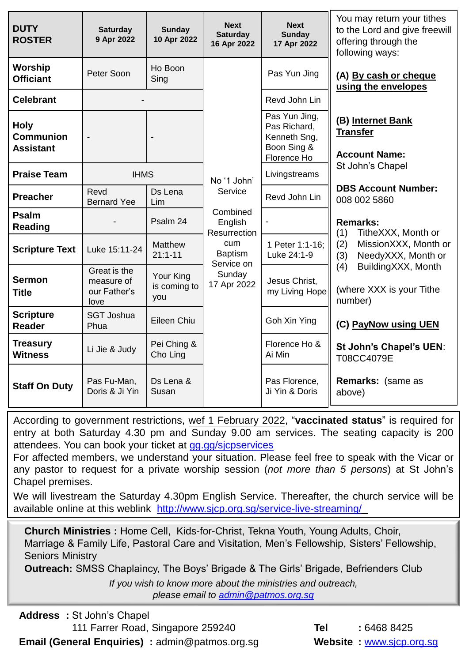| <b>DUTY</b><br><b>ROSTER</b>                        | <b>Saturday</b><br>9 Apr 2022                      | <b>Sunday</b><br>10 Apr 2022     | <b>Next</b><br><b>Saturday</b><br>16 Apr 2022                                                                                       | <b>Next</b><br><b>Sunday</b><br>17 Apr 2022                                 | You may return your tithes<br>to the Lord and give freewill<br>offering through the<br>following ways:                                                 |
|-----------------------------------------------------|----------------------------------------------------|----------------------------------|-------------------------------------------------------------------------------------------------------------------------------------|-----------------------------------------------------------------------------|--------------------------------------------------------------------------------------------------------------------------------------------------------|
| <b>Worship</b><br><b>Officiant</b>                  | Peter Soon                                         | Ho Boon<br>Sing                  |                                                                                                                                     | Pas Yun Jing                                                                | (A) By cash or cheque<br>using the envelopes                                                                                                           |
| <b>Celebrant</b>                                    |                                                    |                                  |                                                                                                                                     | Revd John Lin                                                               |                                                                                                                                                        |
| <b>Holy</b><br><b>Communion</b><br><b>Assistant</b> |                                                    |                                  |                                                                                                                                     | Pas Yun Jing,<br>Pas Richard,<br>Kenneth Sng,<br>Boon Sing &<br>Florence Ho | (B) Internet Bank<br><b>Transfer</b><br><b>Account Name:</b>                                                                                           |
| <b>Praise Team</b>                                  | <b>IHMS</b>                                        | No '1 John'                      |                                                                                                                                     | Livingstreams                                                               | St John's Chapel                                                                                                                                       |
| <b>Preacher</b>                                     | Revd<br><b>Bernard Yee</b>                         | Ds Lena<br>Lim                   | Service                                                                                                                             | Revd John Lin                                                               | <b>DBS Account Number:</b><br>008 002 5860<br><b>Remarks:</b><br>TitheXXX, Month or<br>(1)<br>MissionXXX, Month or<br>(2)<br>(3)<br>NeedyXXX, Month or |
| <b>Psalm</b><br><b>Reading</b>                      |                                                    | Psalm 24                         | Combined<br>English<br>Resurrection                                                                                                 |                                                                             |                                                                                                                                                        |
| <b>Scripture Text</b>                               | Luke 15:11-24                                      | Matthew<br>$21:1 - 11$           | <b>cum</b><br><b>Baptism</b><br>Service on                                                                                          | 1 Peter 1:1-16:<br>Luke 24:1-9                                              |                                                                                                                                                        |
| <b>Sermon</b><br><b>Title</b>                       | Great is the<br>measure of<br>our Father's<br>love | Your King<br>is coming to<br>you | (4)<br>Sunday<br>Jesus Christ,<br>17 Apr 2022<br>my Living Hope<br>number)<br>Goh Xin Ying<br>Florence Ho &<br>Ai Min<br>T08CC4079E | BuildingXXX, Month<br>(where XXX is your Tithe                              |                                                                                                                                                        |
| <b>Scripture</b><br><b>Reader</b>                   | <b>SGT Joshua</b><br>Phua                          | Eileen Chiu                      |                                                                                                                                     |                                                                             | (C) PayNow using UEN                                                                                                                                   |
| <b>Treasury</b><br><b>Witness</b>                   | Li Jie & Judy                                      | Pei Ching &<br>Cho Ling          |                                                                                                                                     |                                                                             | St John's Chapel's UEN:                                                                                                                                |
| <b>Staff On Duty</b>                                | Pas Fu-Man,<br>Doris & Ji Yin                      | Ds Lena &<br>Susan               |                                                                                                                                     | Pas Florence,<br>Ji Yin & Doris                                             | <b>Remarks: (same as</b><br>above)                                                                                                                     |

According to government restrictions, wef 1 February 2022, "**vaccinated status**" is required for entry at both Saturday 4.30 pm and Sunday 9.00 am services. The seating capacity is 200 attendees. You can book your ticket at [gg.gg/sjcpservices](https://www.eventbrite.sg/o/st-johns-chapel-singapore-30660507632)

For affected members, we understand your situation. Please feel free to speak with the Vicar or any pastor to request for a private worship session (*not more than 5 persons*) at St John's Chapel premises.

We will livestream the Saturday 4.30pm English Service. Thereafter, the church service will be available online at this weblink <http://www.sjcp.org.sg/service-live-streaming/>

**Church Ministries :** Home Cell, Kids-for-Christ, Tekna Youth, Young Adults, Choir, Marriage & Family Life, Pastoral Care and Visitation, Men's Fellowship, Sisters' Fellowship, Seniors Ministry

**Outreach:** SMSS Chaplaincy, The Boys' Brigade & The Girls' Brigade, Befrienders Club

*If you wish to know more about the ministries and outreach, please email to [admin@patmos.org.sg](mailto:admin@patmos.org.sg)*

|                                                        | <b>Address</b> : St John's Chapel |                                   |
|--------------------------------------------------------|-----------------------------------|-----------------------------------|
|                                                        |                                   | 111 Farrer Road, Singapore 259240 |
| <b>Email (General Enquiries)</b> : admin@patmos.org.sg |                                   |                                   |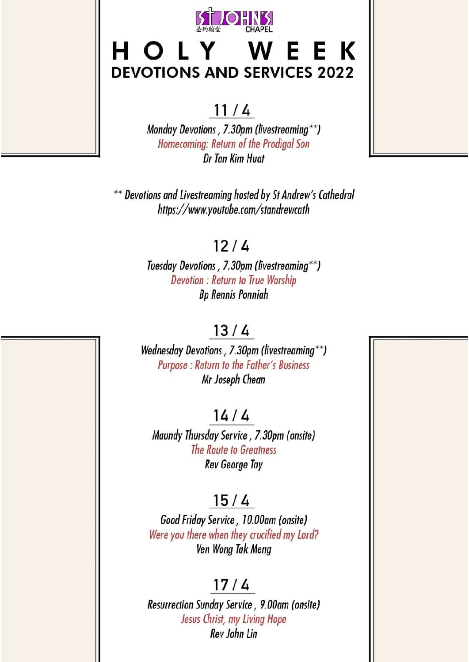

## HOLY WEEK **DEVOTIONS AND SERVICES 2022**

## $11/4$

Monday Devotions, 7.30pm (livestreaming\*\*) Homecoming: Return of the Prodigal Son Dr Tan Kim Huat

\*\* Devotions and Livestreaming hosted by St Andrew's Cathedral https://www.youtube.com/standrewcath

## $12/4$

Tuesday Devotions, 7.30pm (livestreaming\*\*) **Devotion: Return to True Worship Bp Rennis Ponniah** 

## $13/4$

Wednesday Devotions, 7.30pm (livestreaming\*\*) Purpose : Return to the Father's Business Mr Joseph Chean

## $14/4$

Maundy Thursday Service, 7.30pm (onsite) The Route to Greatness **Rev George Tay** 

## $15/4$

Good Friday Service, 10.00am (onsite) Were you there when they crucified my Lord? Ven Wong Tak Meng

## $17/4$

Resurrection Sunday Service, 9.00am (onsite) Jesus Christ, my Living Hope Rev John Lin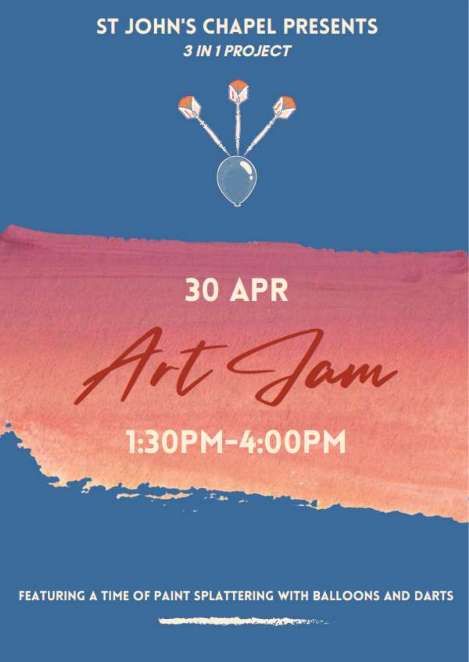## **ST JOHN'S CHAPEL PRESENTS 3 IN 1 PROJECT**



## **30 APR**

## 1:30PM-4:00PM

FEATURING A TIME OF PAINT SPLATTERING WITH BALLOONS AND DARTS

**CARD COMPANY OF BUILDING COMPANY**